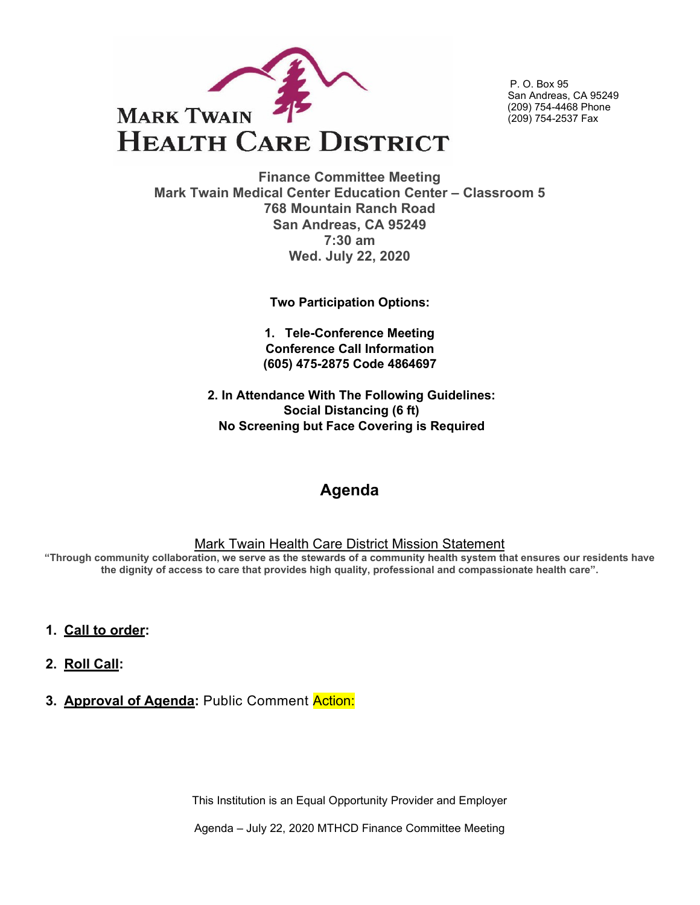

P. O. Box 95 San Andreas, CA 95249 (209) 754-4468 Phone (209) 754-2537 Fax

**Finance Committee Meeting Mark Twain Medical Center Education Center – Classroom 5 768 Mountain Ranch Road San Andreas, CA 95249 7:30 am Wed. July 22, 2020**

**Two Participation Options:**

**1. Tele-Conference Meeting Conference Call Information (605) 475-2875 Code 4864697** 

**2. In Attendance With The Following Guidelines: Social Distancing (6 ft) No Screening but Face Covering is Required**

# **Agenda**

#### Mark Twain Health Care District Mission Statement

**"Through community collaboration, we serve as the stewards of a community health system that ensures our residents have the dignity of access to care that provides high quality, professional and compassionate health care".**

- **1. Call to order:**
- **2. Roll Call:**
- **3. Approval of Agenda:** Public Comment Action:

This Institution is an Equal Opportunity Provider and Employer

Agenda – July 22, 2020 MTHCD Finance Committee Meeting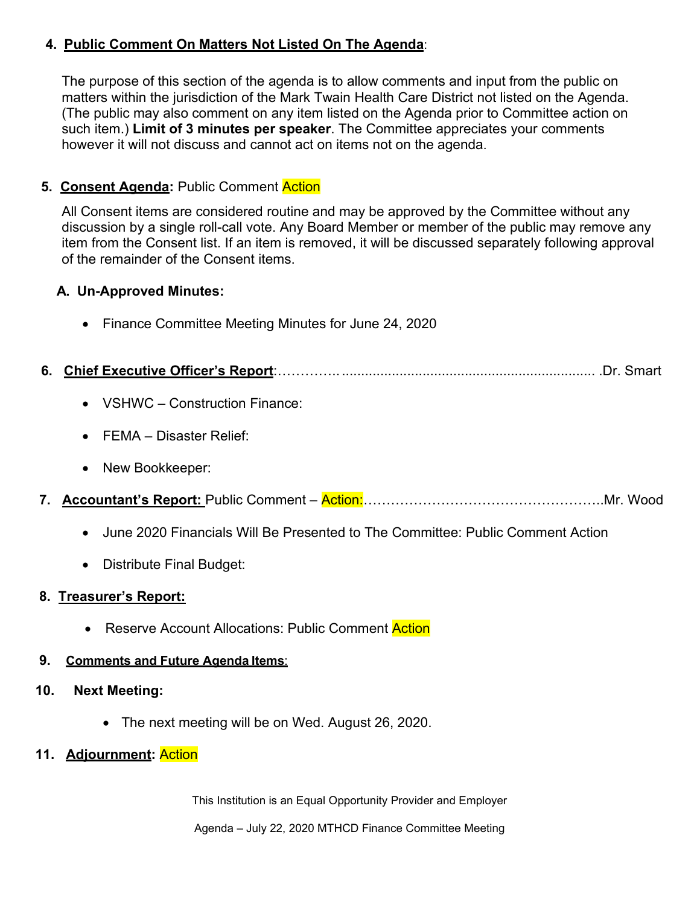## **4. Public Comment On Matters Not Listed On The Agenda**:

The purpose of this section of the agenda is to allow comments and input from the public on matters within the jurisdiction of the Mark Twain Health Care District not listed on the Agenda. (The public may also comment on any item listed on the Agenda prior to Committee action on such item.) **Limit of 3 minutes per speaker**. The Committee appreciates your comments however it will not discuss and cannot act on items not on the agenda.

### **5. Consent Agenda:** Public Comment Action

All Consent items are considered routine and may be approved by the Committee without any discussion by a single roll-call vote. Any Board Member or member of the public may remove any item from the Consent list. If an item is removed, it will be discussed separately following approval of the remainder of the Consent items.

#### **A. Un-Approved Minutes:**

• Finance Committee Meeting Minutes for June 24, 2020

- VSHWC Construction Finance:
- FEMA Disaster Relief:
- New Bookkeeper:
- **7. Accountant's Report:** Public Comment Action:……………………………………………..Mr. Wood
	- June 2020 Financials Will Be Presented to The Committee: Public Comment Action
	- Distribute Final Budget:

#### **8. Treasurer's Report:**

• Reserve Account Allocations: Public Comment Action

#### **9. Comments and Future Agenda Items**:

#### **10. Next Meeting:**

- The next meeting will be on Wed. August 26, 2020.
- **11. Adjournment:** Action

This Institution is an Equal Opportunity Provider and Employer

Agenda – July 22, 2020 MTHCD Finance Committee Meeting